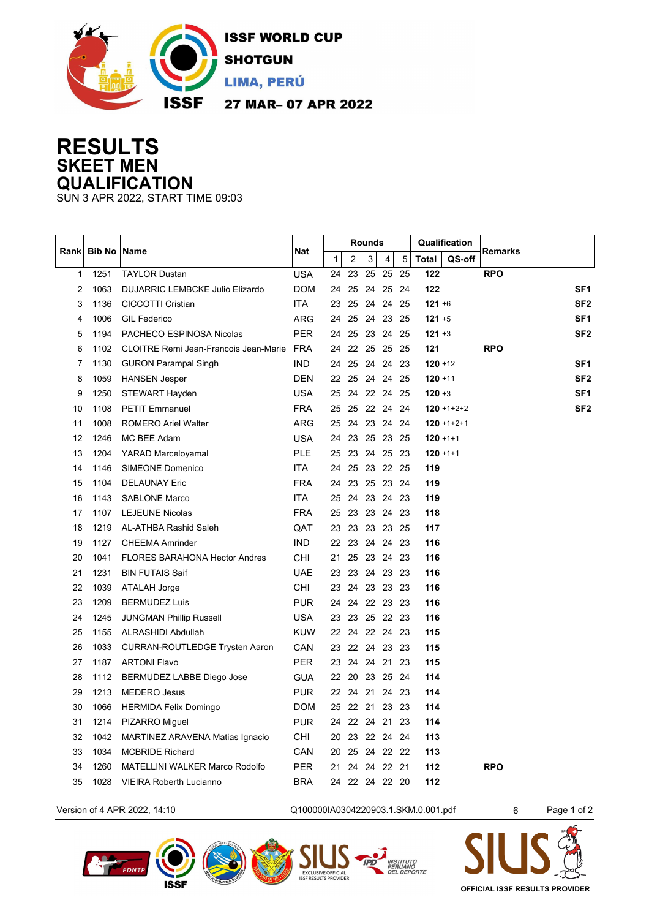

## **RESULTS SKEET MEN QUALIFICATION**

SUN 3 APR 2022, START TIME 09:03

|       | <b>Bib No</b> | <b>Name</b>                                  | Nat        | <b>Rounds</b> |                |          |             |      | Qualification |                   |                 |
|-------|---------------|----------------------------------------------|------------|---------------|----------------|----------|-------------|------|---------------|-------------------|-----------------|
| Rankl |               |                                              |            | $\mathbf{1}$  | 2              | 3        | 4           | 5    | <b>Total</b>  | QS-off            | <b>Remarks</b>  |
| 1     | 1251          | <b>TAYLOR Dustan</b>                         | <b>USA</b> | 24            | 23             | 25       | 25          | 25   | 122           |                   | <b>RPO</b>      |
| 2     | 1063          | DUJARRIC LEMBCKE Julio Elizardo              | <b>DOM</b> | 24            |                | 25 24 25 |             | -24  | 122           |                   | SF <sub>1</sub> |
| 3     | 1136          | <b>CICCOTTI Cristian</b>                     | <b>ITA</b> | 23            | 25             | 24       | 24          | - 25 | $121 + 6$     |                   | SF <sub>2</sub> |
| 4     | 1006          | <b>GIL Federico</b>                          | ARG        | 24            |                | 25 24    | 23 25       |      | $121 + 5$     |                   | SF <sub>1</sub> |
| 5     | 1194          | PACHECO ESPINOSA Nicolas                     | <b>PER</b> | 24            |                |          | 25 23 24 25 |      | $121 + 3$     |                   | SF <sub>2</sub> |
| 6     | 1102          | <b>CLOITRE Remi Jean-Francois Jean-Marie</b> | FRA        | 24            |                | 22 25 25 |             | - 25 | 121           |                   | <b>RPO</b>      |
| 7     | 1130          | <b>GURON Parampal Singh</b>                  | IND.       | 24            |                |          | 25 24 24 23 |      | $120 + 12$    |                   | SF <sub>1</sub> |
| 8     | 1059          | <b>HANSEN Jesper</b>                         | <b>DEN</b> | 22            |                |          | 25 24 24 25 |      | $120 + 11$    |                   | SF <sub>2</sub> |
| 9     | 1250          | STEWART Hayden                               | <b>USA</b> | 25            |                |          | 24 22 24 25 |      | $120 + 3$     |                   | SF <sub>1</sub> |
| 10    | 1108          | <b>PETIT Emmanuel</b>                        | <b>FRA</b> | 25            |                |          | 25 22 24 24 |      |               | $120 + 1 + 2 + 2$ | SF <sub>2</sub> |
| 11    | 1008          | <b>ROMERO Ariel Walter</b>                   | <b>ARG</b> | 25            |                |          | 24 23 24 24 |      |               | $120 + 1 + 2 + 1$ |                 |
| 12    | 1246          | MC BEE Adam                                  | <b>USA</b> | 24            |                |          | 23 25 23 25 |      | $120 + 1 + 1$ |                   |                 |
| 13    | 1204          | <b>YARAD Marceloyamal</b>                    | <b>PLE</b> | 25            |                |          | 23 24 25 23 |      | $120 + 1 + 1$ |                   |                 |
| 14    | 1146          | SIMEONE Domenico                             | <b>ITA</b> | 24            |                |          | 25 23 22 25 |      | 119           |                   |                 |
| 15    | 1104          | <b>DELAUNAY Eric</b>                         | <b>FRA</b> | 24            |                |          | 23 25 23 24 |      | 119           |                   |                 |
| 16    | 1143          | <b>SABLONE Marco</b>                         | ITA        | 25            |                |          | 24 23 24 23 |      | 119           |                   |                 |
| 17    | 1107          | <b>LEJEUNE Nicolas</b>                       | <b>FRA</b> | 25            |                |          | 23 23 24 23 |      | 118           |                   |                 |
| 18    | 1219          | AL-ATHBA Rashid Saleh                        | QAT        |               | 23 23 23 23 25 |          |             |      | 117           |                   |                 |
| 19    | 1127          | <b>CHEEMA Amrinder</b>                       | <b>IND</b> |               | 22 23 24 24 23 |          |             |      | 116           |                   |                 |
| 20    | 1041          | <b>FLORES BARAHONA Hector Andres</b>         | <b>CHI</b> | 21            |                |          | 25 23 24 23 |      | 116           |                   |                 |
| 21    | 1231          | <b>BIN FUTAIS Saif</b>                       | <b>UAE</b> | 23            |                |          | 23 24 23 23 |      | 116           |                   |                 |
| 22    | 1039          | <b>ATALAH Jorge</b>                          | CHI        |               | 23 24 23 23 23 |          |             |      | 116           |                   |                 |
| 23    | 1209          | <b>BERMUDEZ Luis</b>                         | <b>PUR</b> | 24            |                |          | 24 22 23 23 |      | 116           |                   |                 |
| 24    | 1245          | <b>JUNGMAN Phillip Russell</b>               | USA        |               | 23 23 25 22 23 |          |             |      | 116           |                   |                 |
| 25    | 1155          | ALRASHIDI Abdullah                           | <b>KUW</b> |               | 22 24 22 24 23 |          |             |      | 115           |                   |                 |
| 26    | 1033          | <b>CURRAN-ROUTLEDGE Trysten Aaron</b>        | CAN        |               | 23 22 24 23 23 |          |             |      | 115           |                   |                 |
| 27    | 1187          | <b>ARTONI Flavo</b>                          | <b>PER</b> |               | 23 24 24 21 23 |          |             |      | 115           |                   |                 |
| 28    | 1112          | BERMUDEZ LABBE Diego Jose                    | <b>GUA</b> |               | 22 20 23 25 24 |          |             |      | 114           |                   |                 |
| 29    | 1213          | <b>MEDERO Jesus</b>                          | <b>PUR</b> |               | 22 24 21 24 23 |          |             |      | 114           |                   |                 |
| 30    | 1066          | <b>HERMIDA Felix Domingo</b>                 | <b>DOM</b> |               | 25 22 21 23 23 |          |             |      | 114           |                   |                 |
| 31    | 1214          | PIZARRO Miguel                               | <b>PUR</b> | 24            |                |          | 22 24 21 23 |      | 114           |                   |                 |
| 32    | 1042          | MARTINEZ ARAVENA Matias Ignacio              | CHI        | 20            |                |          | 23 22 24 24 |      | 113           |                   |                 |
| 33    | 1034          | <b>MCBRIDE Richard</b>                       | CAN        | 20            |                |          | 25 24 22 22 |      | 113           |                   |                 |
| 34    | 1260          | <b>MATELLINI WALKER Marco Rodolfo</b>        | <b>PER</b> | 21            |                |          | 24 24 22 21 |      | 112           |                   | <b>RPO</b>      |
| 35    | 1028          | <b>VIEIRA Roberth Lucianno</b>               | <b>BRA</b> |               | 24 22 24 22 20 |          |             |      | 112           |                   |                 |
|       |               |                                              |            |               |                |          |             |      |               |                   |                 |

Version of 4 APR 2022, 14:10 Q100000IA0304220903.1.SKM.0.001.pdf 6 Page 1 of 2